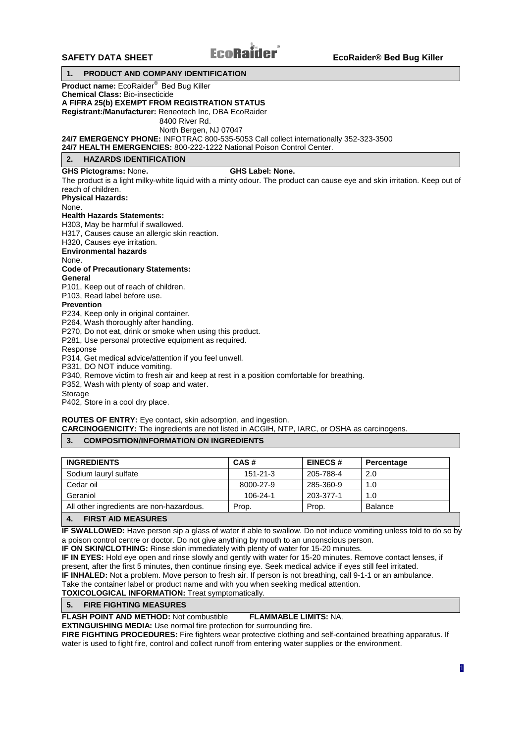# **1. PRODUCT AND COMPANY IDENTIFICATION**

**Product name:** EcoRaider® Bed Bug Killer

**Chemical Class:** Bio-insecticide

## **A FIFRA 25(b) EXEMPT FROM REGISTRATION STATUS**

**Registrant:/Manufacturer:** Reneotech Inc, DBA EcoRaider

8400 River Rd.

North Bergen, NJ 07047

**24/7 EMERGENCY PHONE:** INFOTRAC 800-535-5053 Call collect internationally 352-323-3500

**24/7 HEALTH EMERGENCIES:** 800-222-1222 National Poison Control Center.

# **2. HAZARDS IDENTIFICATION**

## **GHS Pictograms:** None**. GHS Label: None.**

The product is a light milky-white liquid with a minty odour. The product can cause eye and skin irritation. Keep out of reach of children.

**Physical Hazards:**

None.

# **Health Hazards Statements:**

H303, May be harmful if swallowed.

H317, Causes cause an allergic skin reaction.

H320, Causes eye irritation.

**Environmental hazards**

None.

#### **Code of Precautionary Statements:**

**General**

P101, Keep out of reach of children.

P103, Read label before use.

## **Prevention**

P234, Keep only in original container.

P264, Wash thoroughly after handling.

P270, Do not eat, drink or smoke when using this product.

P281, Use personal protective equipment as required.

Response

P314, Get medical advice/attention if you feel unwell.

P331, DO NOT induce vomiting.

P340, Remove victim to fresh air and keep at rest in a position comfortable for breathing.

P352, Wash with plenty of soap and water.

Storage

P402, Store in a cool dry place.

## **ROUTES OF ENTRY:** Eye contact, skin adsorption, and ingestion.

**CARCINOGENICITY:** The ingredients are not listed in ACGIH, NTP, IARC, or OSHA as carcinogens.

# **3. COMPOSITION/INFORMATION ON INGREDIENTS**

| <b>INGREDIENTS</b>                       | CAS#           | <b>EINECS#</b> | Percentage |
|------------------------------------------|----------------|----------------|------------|
| Sodium lauryl sulfate                    | $151 - 21 - 3$ | 205-788-4      | 2.0        |
| Cedar oil                                | 8000-27-9      | 285-360-9      | 1.0        |
| Geraniol                                 | 106-24-1       | 203-377-1      | 1.0        |
| All other ingredients are non-hazardous. | Prop.          | Prop.          | Balance    |

# **4. FIRST AID MEASURES**

**IF SWALLOWED:** Have person sip a glass of water if able to swallow. Do not induce vomiting unless told to do so by a poison control centre or doctor. Do not give anything by mouth to an unconscious person.

**IF ON SKIN/CLOTHING:** Rinse skin immediately with plenty of water for 15-20 minutes.

**IF IN EYES:** Hold eye open and rinse slowly and gently with water for 15-20 minutes. Remove contact lenses, if present, after the first 5 minutes, then continue rinsing eye. Seek medical advice if eyes still feel irritated. **IF INHALED:** Not a problem. Move person to fresh air. If person is not breathing, call 9-1-1 or an ambulance.

Take the container label or product name and with you when seeking medical attention.

**TOXICOLOGICAL INFORMATION:** Treat symptomatically.

#### **5. FIRE FIGHTING MEASURES**

**FLASH POINT AND METHOD:** Not combustible **FLAMMABLE LIMITS:** NA.

**EXTINGUISHING MEDIA:** Use normal fire protection for surrounding fire.

**FIRE FIGHTING PROCEDURES:** Fire fighters wear protective clothing and self-contained breathing apparatus. If water is used to fight fire, control and collect runoff from entering water supplies or the environment.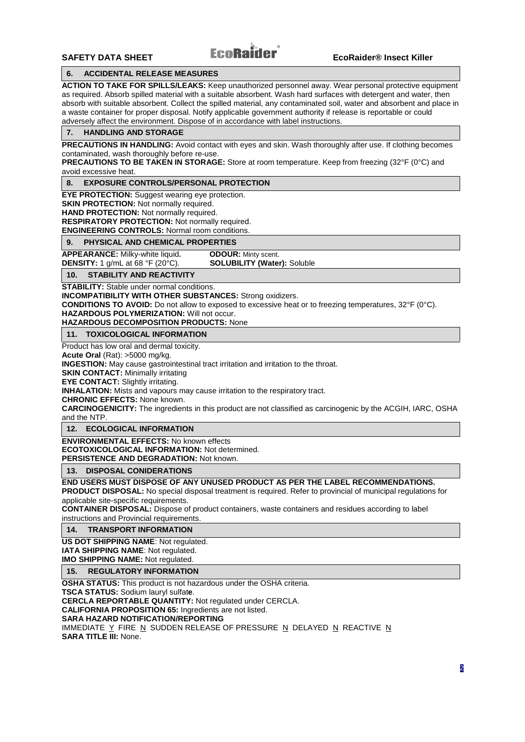# **6. ACCIDENTAL RELEASE MEASURES**

**ACTION TO TAKE FOR SPILLS/LEAKS:** Keep unauthorized personnel away. Wear personal protective equipment as required. Absorb spilled material with a suitable absorbent. Wash hard surfaces with detergent and water, then absorb with suitable absorbent. Collect the spilled material, any contaminated soil, water and absorbent and place in a waste container for proper disposal. Notify applicable government authority if release is reportable or could adversely affect the environment. Dispose of in accordance with label instructions.

#### **7. HANDLING AND STORAGE**

**PRECAUTIONS IN HANDLING:** Avoid contact with eyes and skin. Wash thoroughly after use. If clothing becomes contaminated, wash thoroughly before re-use.

**PRECAUTIONS TO BE TAKEN IN STORAGE:** Store at room temperature. Keep from freezing (32°F (0°C) and avoid excessive heat.

#### **8. EXPOSURE CONTROLS/PERSONAL PROTECTION**

**EYE PROTECTION:** Suggest wearing eye protection.

**SKIN PROTECTION:** Not normally required.

**HAND PROTECTION:** Not normally required.

**RESPIRATORY PROTECTION:** Not normally required.

**ENGINEERING CONTROLS:** Normal room conditions.

#### **9. PHYSICAL AND CHEMICAL PROPERTIES**

**APPEARANCE:** Milky-white liquid. **ODOUR:** Minty scent.<br>**DENSITY:** 1 g/mL at 68 °F (20°C). **SOLUBILITY (Water):** Soluble **DENSITY:** 1 g/mL at 68 °F (20°C).

**10. STABILITY AND REACTIVITY**

**STABILITY:** Stable under normal conditions.

**INCOMPATIBILITY WITH OTHER SUBSTANCES:** Strong oxidizers.

**CONDITIONS TO AVOID:** Do not allow to exposed to excessive heat or to freezing temperatures, 32°F (0°C).

# **HAZARDOUS POLYMERIZATION:** Will not occur.

**HAZARDOUS DECOMPOSITION PRODUCTS:** None

## **11. TOXICOLOGICAL INFORMATION**

Product has low oral and dermal toxicity.

**Acute Oral** (Rat): >5000 mg/kg.

**INGESTION:** May cause gastrointestinal tract irritation and irritation to the throat.

**SKIN CONTACT:** Minimally irritating

**EYE CONTACT:** Slightly irritating.

**INHALATION:** Mists and vapours may cause irritation to the respiratory tract.

**CHRONIC EFFECTS:** None known.

**CARCINOGENICITY:** The ingredients in this product are not classified as carcinogenic by the ACGIH, IARC, OSHA and the NTP.

# **12. ECOLOGICAL INFORMATION**

**ENVIRONMENTAL EFFECTS:** No known effects **ECOTOXICOLOGICAL INFORMATION:** Not determined. **PERSISTENCE AND DEGRADATION:** Not known.

#### **13. DISPOSAL CONIDERATIONS**

**END USERS MUST DISPOSE OF ANY UNUSED PRODUCT AS PER THE LABEL RECOMMENDATIONS.**

**PRODUCT DISPOSAL:** No special disposal treatment is required. Refer to provincial of municipal regulations for applicable site-specific requirements.

**CONTAINER DISPOSAL:** Dispose of product containers, waste containers and residues according to label instructions and Provincial requirements.

#### **14. TRANSPORT INFORMATION**

**US DOT SHIPPING NAME**: Not regulated.

**IATA SHIPPING NAME**: Not regulated.

**IMO SHIPPING NAME:** Not regulated.

**15. REGULATORY INFORMATION**

**OSHA STATUS:** This product is not hazardous under the OSHA criteria.

**TSCA STATUS:** Sodium lauryl sulfat**e**.

**CERCLA REPORTABLE QUANTITY:** Not regulated under CERCLA.

**CALIFORNIA PROPOSITION 65:** Ingredients are not listed.

**SARA HAZARD NOTIFICATION/REPORTING**

IMMEDIATE Y FIRE N SUDDEN RELEASE OF PRESSURE N DELAYED N REACTIVE N **SARA TITLE III:** None.